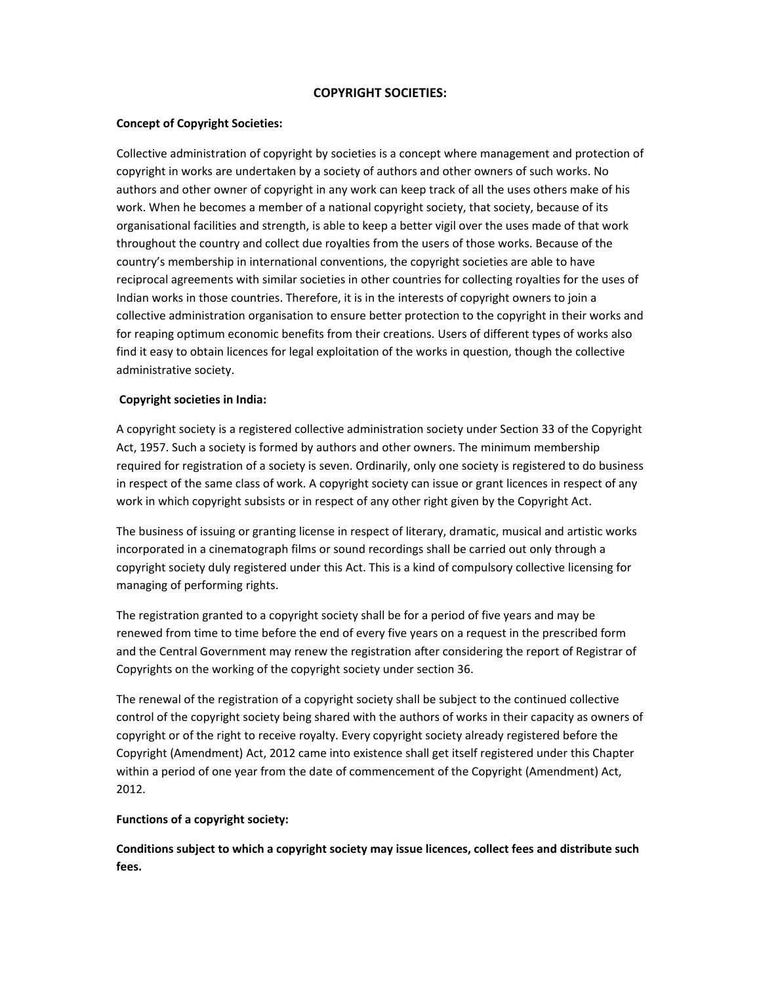## **COPYRIGHT SOCIETIES:**

## **Concept of Copyright Societies:**

Collective administration of copyright by societies is a concept where management and protection of copyright in works are undertaken by a society of authors and other owners of such works. No authors and other owner of copyright in any work can keep track of all the uses others make of his work. When he becomes a member of a national copyright society, that society, because of its organisational facilities and strength, is able to keep a better vigil over the uses made of that work throughout the country and collect due royalties from the users of those works. Because of the country's membership in international conventions, the copyright societies are able to have reciprocal agreements with similar societies in other countries for collecting royalties for the uses of Indian works in those countries. Therefore, it is in the interests of copyright owners to join a collective administration organisation to ensure better protection to the copyright in their works and for reaping optimum economic benefits from their creations. Users of different types of works also find it easy to obtain licences for legal exploitation of the works in question, though the collective administrative society.

## **Copyright societies in India:**

A copyright society is a registered collective administration society under Section 33 of the Copyright Act, 1957. Such a society is formed by authors and other owners. The minimum membership required for registration of a society is seven. Ordinarily, only one society is registered to do business in respect of the same class of work. A copyright society can issue or grant licences in respect of any work in which copyright subsists or in respect of any other right given by the Copyright Act.

The business of issuing or granting license in respect of literary, dramatic, musical and artistic works incorporated in a cinematograph films or sound recordings shall be carried out only through a copyright society duly registered under this Act. This is a kind of compulsory collective licensing for managing of performing rights.

The registration granted to a copyright society shall be for a period of five years and may be renewed from time to time before the end of every five years on a request in the prescribed form and the Central Government may renew the registration after considering the report of Registrar of Copyrights on the working of the copyright society under section 36.

The renewal of the registration of a copyright society shall be subject to the continued collective control of the copyright society being shared with the authors of works in their capacity as owners of copyright or of the right to receive royalty. Every copyright society already registered before the Copyright (Amendment) Act, 2012 came into existence shall get itself registered under this Chapter within a period of one year from the date of commencement of the Copyright (Amendment) Act, 2012.

#### **Functions of a copyright society:**

**Conditions subject to which a copyright society may issue licences, collect fees and distribute such fees.**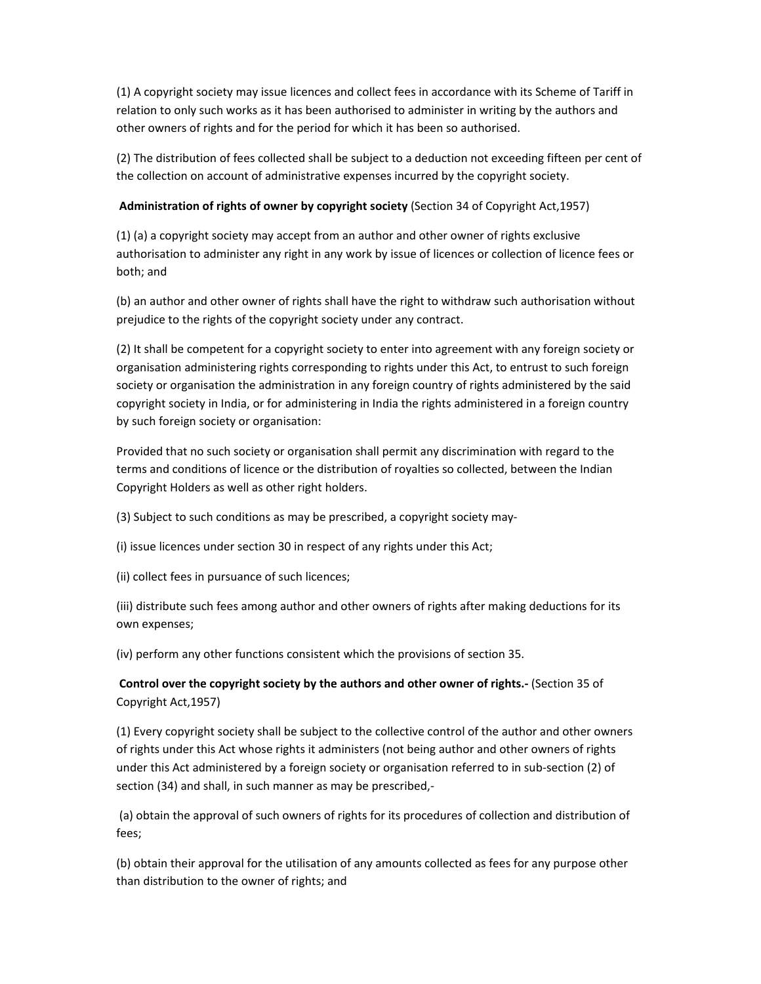(1) A copyright society may issue licences and collect fees in accordance with its Scheme of Tariff in relation to only such works as it has been authorised to administer in writing by the authors and other owners of rights and for the period for which it has been so authorised.

(2) The distribution of fees collected shall be subject to a deduction not exceeding fifteen per cent of the collection on account of administrative expenses incurred by the copyright society.

## **Administration of rights of owner by copyright society** (Section 34 of Copyright Act,1957)

(1) (a) a copyright society may accept from an author and other owner of rights exclusive authorisation to administer any right in any work by issue of licences or collection of licence fees or both; and

(b) an author and other owner of rights shall have the right to withdraw such authorisation without prejudice to the rights of the copyright society under any contract.

(2) It shall be competent for a copyright society to enter into agreement with any foreign society or organisation administering rights corresponding to rights under this Act, to entrust to such foreign society or organisation the administration in any foreign country of rights administered by the said copyright society in India, or for administering in India the rights administered in a foreign country by such foreign society or organisation:

Provided that no such society or organisation shall permit any discrimination with regard to the terms and conditions of licence or the distribution of royalties so collected, between the Indian Copyright Holders as well as other right holders.

(3) Subject to such conditions as may be prescribed, a copyright society may‐

(i) issue licences under section 30 in respect of any rights under this Act;

(ii) collect fees in pursuance of such licences;

(iii) distribute such fees among author and other owners of rights after making deductions for its own expenses;

(iv) perform any other functions consistent which the provisions of section 35.

**Control over the copyright society by the authors and other owner of rights.‐** (Section 35 of Copyright Act,1957)

(1) Every copyright society shall be subject to the collective control of the author and other owners of rights under this Act whose rights it administers (not being author and other owners of rights under this Act administered by a foreign society or organisation referred to in sub‐section (2) of section (34) and shall, in such manner as may be prescribed,‐

(a) obtain the approval of such owners of rights for its procedures of collection and distribution of fees;

(b) obtain their approval for the utilisation of any amounts collected as fees for any purpose other than distribution to the owner of rights; and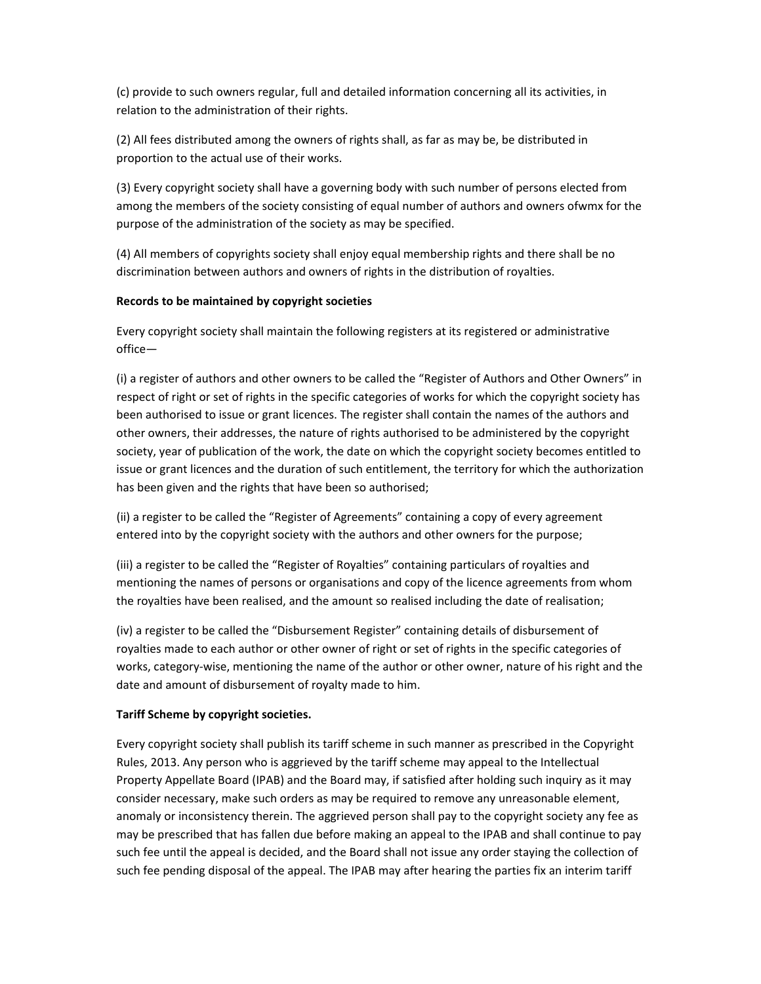(c) provide to such owners regular, full and detailed information concerning all its activities, in relation to the administration of their rights.

(2) All fees distributed among the owners of rights shall, as far as may be, be distributed in proportion to the actual use of their works.

(3) Every copyright society shall have a governing body with such number of persons elected from among the members of the society consisting of equal number of authors and owners ofwmx for the purpose of the administration of the society as may be specified.

(4) All members of copyrights society shall enjoy equal membership rights and there shall be no discrimination between authors and owners of rights in the distribution of royalties.

# **Records to be maintained by copyright societies**

Every copyright society shall maintain the following registers at its registered or administrative office—

(i) a register of authors and other owners to be called the "Register of Authors and Other Owners" in respect of right or set of rights in the specific categories of works for which the copyright society has been authorised to issue or grant licences. The register shall contain the names of the authors and other owners, their addresses, the nature of rights authorised to be administered by the copyright society, year of publication of the work, the date on which the copyright society becomes entitled to issue or grant licences and the duration of such entitlement, the territory for which the authorization has been given and the rights that have been so authorised;

(ii) a register to be called the "Register of Agreements" containing a copy of every agreement entered into by the copyright society with the authors and other owners for the purpose;

(iii) a register to be called the "Register of Royalties" containing particulars of royalties and mentioning the names of persons or organisations and copy of the licence agreements from whom the royalties have been realised, and the amount so realised including the date of realisation;

(iv) a register to be called the "Disbursement Register" containing details of disbursement of royalties made to each author or other owner of right or set of rights in the specific categories of works, category‐wise, mentioning the name of the author or other owner, nature of his right and the date and amount of disbursement of royalty made to him.

# **Tariff Scheme by copyright societies.**

Every copyright society shall publish its tariff scheme in such manner as prescribed in the Copyright Rules, 2013. Any person who is aggrieved by the tariff scheme may appeal to the Intellectual Property Appellate Board (IPAB) and the Board may, if satisfied after holding such inquiry as it may consider necessary, make such orders as may be required to remove any unreasonable element, anomaly or inconsistency therein. The aggrieved person shall pay to the copyright society any fee as may be prescribed that has fallen due before making an appeal to the IPAB and shall continue to pay such fee until the appeal is decided, and the Board shall not issue any order staying the collection of such fee pending disposal of the appeal. The IPAB may after hearing the parties fix an interim tariff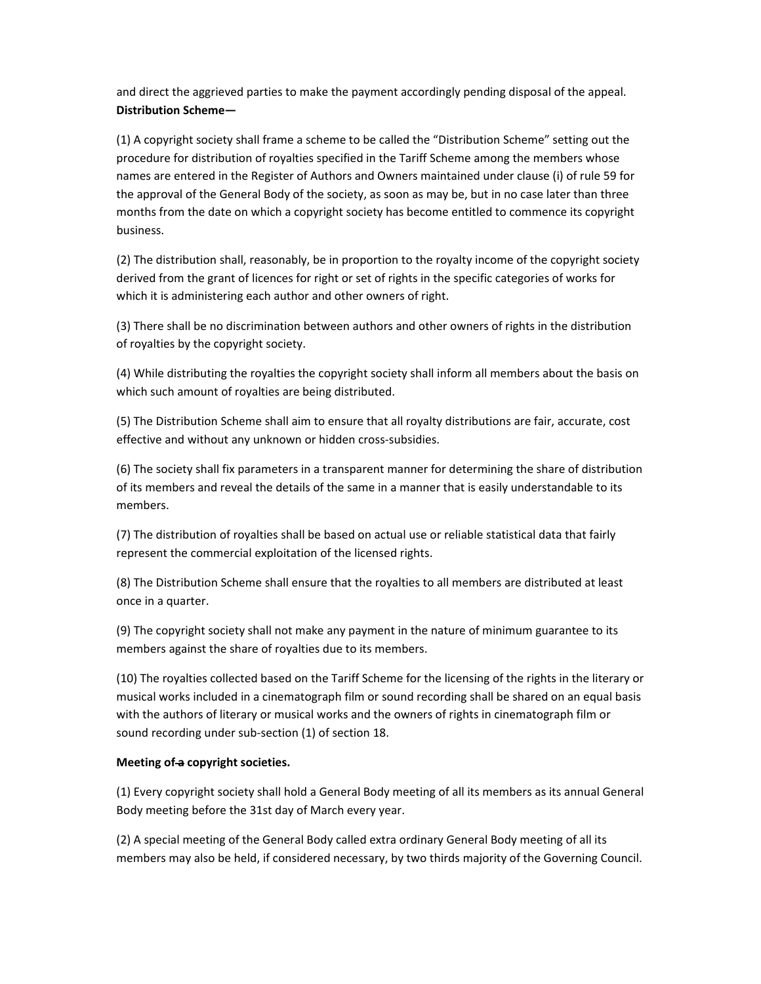and direct the aggrieved parties to make the payment accordingly pending disposal of the appeal. **Distribution Scheme—**

(1) A copyright society shall frame a scheme to be called the "Distribution Scheme" setting out the procedure for distribution of royalties specified in the Tariff Scheme among the members whose names are entered in the Register of Authors and Owners maintained under clause (i) of rule 59 for the approval of the General Body of the society, as soon as may be, but in no case later than three months from the date on which a copyright society has become entitled to commence its copyright business.

(2) The distribution shall, reasonably, be in proportion to the royalty income of the copyright society derived from the grant of licences for right or set of rights in the specific categories of works for which it is administering each author and other owners of right.

(3) There shall be no discrimination between authors and other owners of rights in the distribution of royalties by the copyright society.

(4) While distributing the royalties the copyright society shall inform all members about the basis on which such amount of royalties are being distributed.

(5) The Distribution Scheme shall aim to ensure that all royalty distributions are fair, accurate, cost effective and without any unknown or hidden cross‐subsidies.

(6) The society shall fix parameters in a transparent manner for determining the share of distribution of its members and reveal the details of the same in a manner that is easily understandable to its members.

(7) The distribution of royalties shall be based on actual use or reliable statistical data that fairly represent the commercial exploitation of the licensed rights.

(8) The Distribution Scheme shall ensure that the royalties to all members are distributed at least once in a quarter.

(9) The copyright society shall not make any payment in the nature of minimum guarantee to its members against the share of royalties due to its members.

(10) The royalties collected based on the Tariff Scheme for the licensing of the rights in the literary or musical works included in a cinematograph film or sound recording shall be shared on an equal basis with the authors of literary or musical works and the owners of rights in cinematograph film or sound recording under sub‐section (1) of section 18.

#### **Meeting of a copyright societies.**

(1) Every copyright society shall hold a General Body meeting of all its members as its annual General Body meeting before the 31st day of March every year.

(2) A special meeting of the General Body called extra ordinary General Body meeting of all its members may also be held, if considered necessary, by two thirds majority of the Governing Council.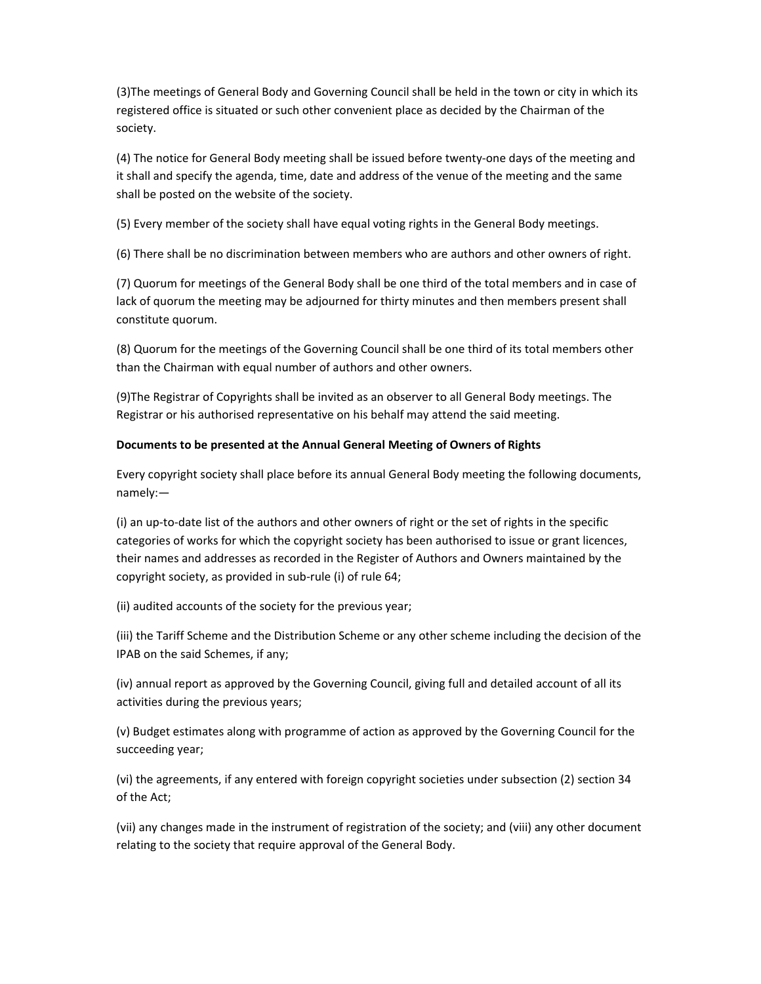(3)The meetings of General Body and Governing Council shall be held in the town or city in which its registered office is situated or such other convenient place as decided by the Chairman of the society.

(4) The notice for General Body meeting shall be issued before twenty‐one days of the meeting and it shall and specify the agenda, time, date and address of the venue of the meeting and the same shall be posted on the website of the society.

(5) Every member of the society shall have equal voting rights in the General Body meetings.

(6) There shall be no discrimination between members who are authors and other owners of right.

(7) Quorum for meetings of the General Body shall be one third of the total members and in case of lack of quorum the meeting may be adjourned for thirty minutes and then members present shall constitute quorum.

(8) Quorum for the meetings of the Governing Council shall be one third of its total members other than the Chairman with equal number of authors and other owners.

(9)The Registrar of Copyrights shall be invited as an observer to all General Body meetings. The Registrar or his authorised representative on his behalf may attend the said meeting.

## **Documents to be presented at the Annual General Meeting of Owners of Rights**

Every copyright society shall place before its annual General Body meeting the following documents, namely:—

(i) an up‐to‐date list of the authors and other owners of right or the set of rights in the specific categories of works for which the copyright society has been authorised to issue or grant licences, their names and addresses as recorded in the Register of Authors and Owners maintained by the copyright society, as provided in sub‐rule (i) of rule 64;

(ii) audited accounts of the society for the previous year;

(iii) the Tariff Scheme and the Distribution Scheme or any other scheme including the decision of the IPAB on the said Schemes, if any;

(iv) annual report as approved by the Governing Council, giving full and detailed account of all its activities during the previous years;

(v) Budget estimates along with programme of action as approved by the Governing Council for the succeeding year;

(vi) the agreements, if any entered with foreign copyright societies under subsection (2) section 34 of the Act;

(vii) any changes made in the instrument of registration of the society; and (viii) any other document relating to the society that require approval of the General Body.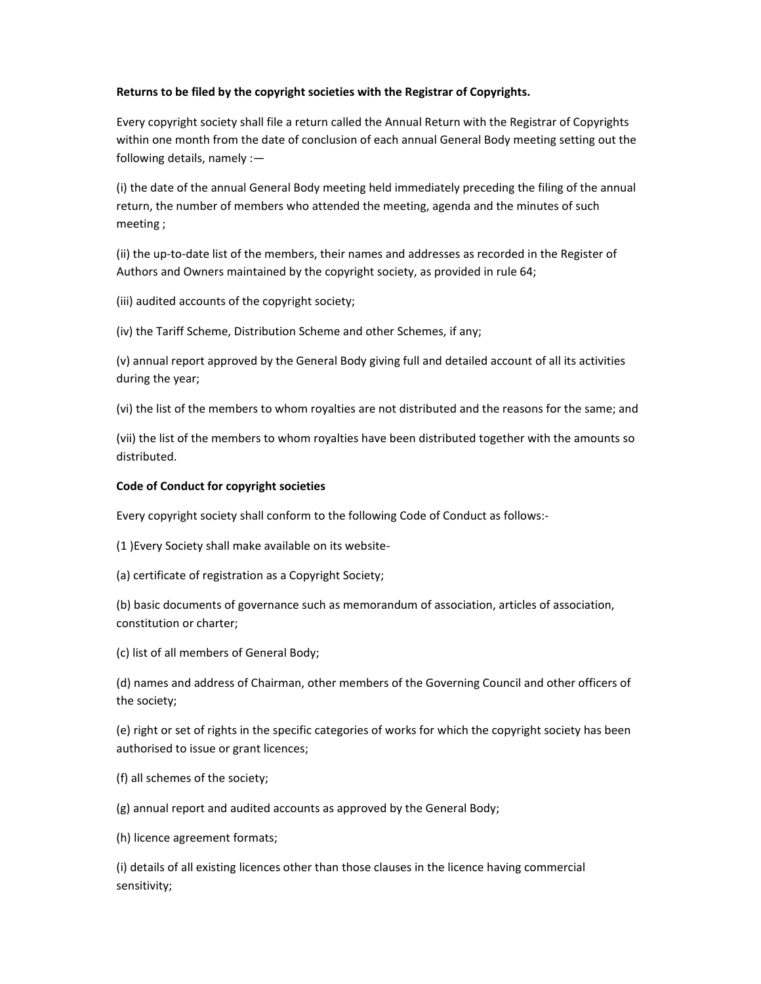## **Returns to be filed by the copyright societies with the Registrar of Copyrights.**

Every copyright society shall file a return called the Annual Return with the Registrar of Copyrights within one month from the date of conclusion of each annual General Body meeting setting out the following details, namely :—

(i) the date of the annual General Body meeting held immediately preceding the filing of the annual return, the number of members who attended the meeting, agenda and the minutes of such meeting ;

(ii) the up‐to‐date list of the members, their names and addresses as recorded in the Register of Authors and Owners maintained by the copyright society, as provided in rule 64;

(iii) audited accounts of the copyright society;

(iv) the Tariff Scheme, Distribution Scheme and other Schemes, if any;

(v) annual report approved by the General Body giving full and detailed account of all its activities during the year;

(vi) the list of the members to whom royalties are not distributed and the reasons for the same; and

(vii) the list of the members to whom royalties have been distributed together with the amounts so distributed.

## **Code of Conduct for copyright societies**

Every copyright society shall conform to the following Code of Conduct as follows:‐

(1 )Every Society shall make available on its website‐

(a) certificate of registration as a Copyright Society;

(b) basic documents of governance such as memorandum of association, articles of association, constitution or charter;

(c) list of all members of General Body;

(d) names and address of Chairman, other members of the Governing Council and other officers of the society;

(e) right or set of rights in the specific categories of works for which the copyright society has been authorised to issue or grant licences;

(f) all schemes of the society;

(g) annual report and audited accounts as approved by the General Body;

(h) licence agreement formats;

(i) details of all existing licences other than those clauses in the licence having commercial sensitivity;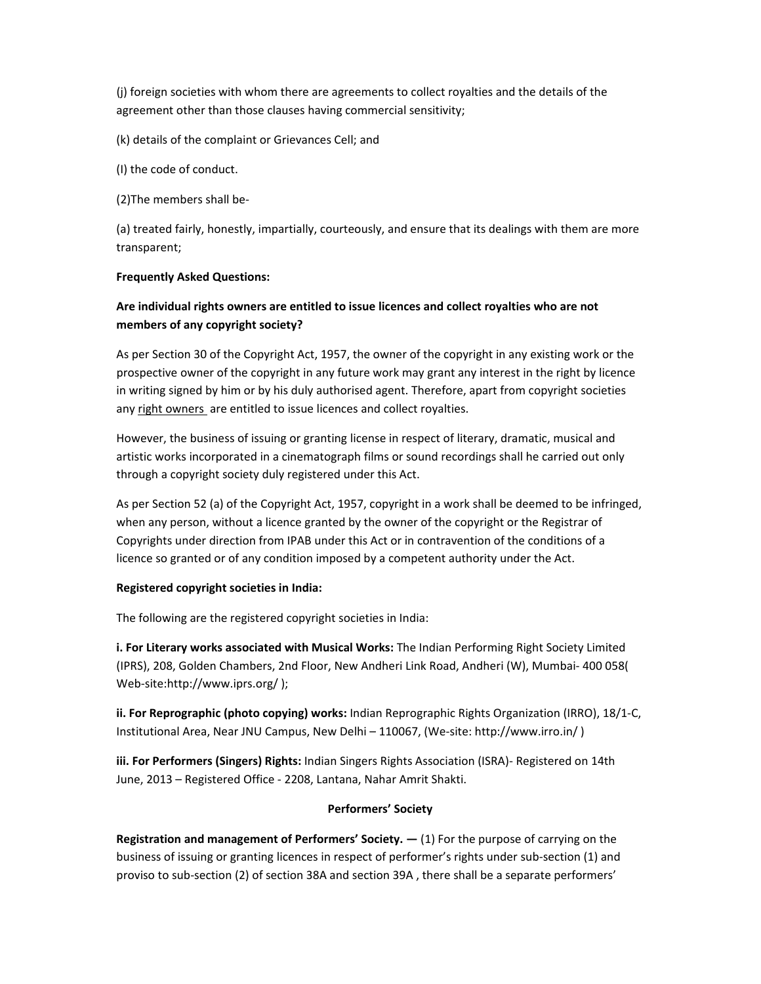(j) foreign societies with whom there are agreements to collect royalties and the details of the agreement other than those clauses having commercial sensitivity;

(k) details of the complaint or Grievances Cell; and

(I) the code of conduct.

(2)The members shall be‐

(a) treated fairly, honestly, impartially, courteously, and ensure that its dealings with them are more transparent;

#### **Frequently Asked Questions:**

# **Are individual rights owners are entitled to issue licences and collect royalties who are not members of any copyright society?**

As per Section 30 of the Copyright Act, 1957, the owner of the copyright in any existing work or the prospective owner of the copyright in any future work may grant any interest in the right by licence in writing signed by him or by his duly authorised agent. Therefore, apart from copyright societies any right owners are entitled to issue licences and collect royalties.

However, the business of issuing or granting license in respect of literary, dramatic, musical and artistic works incorporated in a cinematograph films or sound recordings shall he carried out only through a copyright society duly registered under this Act.

As per Section 52 (a) of the Copyright Act, 1957, copyright in a work shall be deemed to be infringed, when any person, without a licence granted by the owner of the copyright or the Registrar of Copyrights under direction from IPAB under this Act or in contravention of the conditions of a licence so granted or of any condition imposed by a competent authority under the Act.

#### **Registered copyright societies in India:**

The following are the registered copyright societies in India:

**i. For Literary works associated with Musical Works:** The Indian Performing Right Society Limited (IPRS), 208, Golden Chambers, 2nd Floor, New Andheri Link Road, Andheri (W), Mumbai‐ 400 058( Web-site:http://www.iprs.org/ );

**ii. For Reprographic (photo copying) works:** Indian Reprographic Rights Organization (IRRO), 18/1‐C, Institutional Area, Near JNU Campus, New Delhi – 110067, (We‐site: http://www.irro.in/ )

**iii. For Performers (Singers) Rights:** Indian Singers Rights Association (ISRA)‐ Registered on 14th June, 2013 – Registered Office ‐ 2208, Lantana, Nahar Amrit Shakti.

#### **Performers' Society**

**Registration and management of Performers' Society. —** (1) For the purpose of carrying on the business of issuing or granting licences in respect of performer's rights under sub‐section (1) and proviso to sub‐section (2) of section 38A and section 39A , there shall be a separate performers'